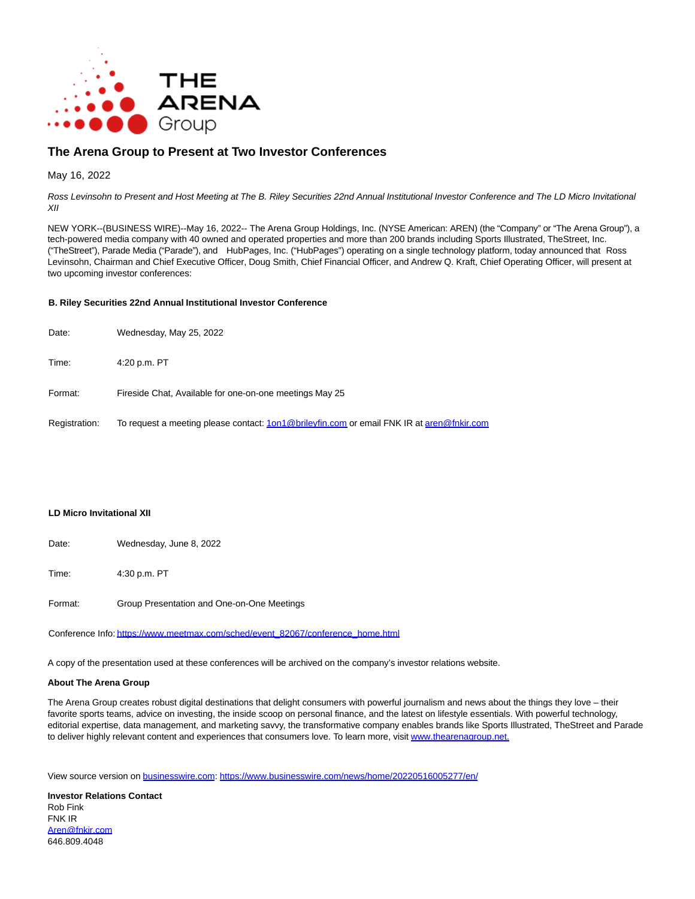

# **The Arena Group to Present at Two Investor Conferences**

## May 16, 2022

Ross Levinsohn to Present and Host Meeting at The B. Riley Securities 22nd Annual Institutional Investor Conference and The LD Micro Invitational XII

NEW YORK--(BUSINESS WIRE)--May 16, 2022-- The Arena Group Holdings, Inc. (NYSE American: AREN) (the "Company" or "The Arena Group"), a tech-powered media company with 40 owned and operated properties and more than 200 brands including Sports Illustrated, TheStreet, Inc. ("TheStreet"), Parade Media ("Parade"), and HubPages, Inc. ("HubPages") operating on a single technology platform, today announced that Ross Levinsohn, Chairman and Chief Executive Officer, Doug Smith, Chief Financial Officer, and Andrew Q. Kraft, Chief Operating Officer, will present at two upcoming investor conferences:

### **B. Riley Securities 22nd Annual Institutional Investor Conference**

| Date:         | Wednesday, May 25, 2022                                                                   |
|---------------|-------------------------------------------------------------------------------------------|
| Time:         | 4:20 p.m. PT                                                                              |
| Format:       | Fireside Chat, Available for one-on-one meetings May 25                                   |
| Registration: | To request a meeting please contact: 1on1@brileyfin.com or email FNK IR at aren@fnkir.com |

### **LD Micro Invitational XII**

Date: Wednesday, June 8, 2022

Time: 4:30 p.m. PT

Format: Group Presentation and One-on-One Meetings

Conference Info: [https://www.meetmax.com/sched/event\\_82067/conference\\_home.html](https://cts.businesswire.com/ct/CT?id=smartlink&url=https%3A%2F%2Fwww.meetmax.com%2Fsched%2Fevent_82067%2Fconference_home.html&esheet=52719747&newsitemid=20220516005277&lan=en-US&anchor=https%3A%2F%2Fwww.meetmax.com%2Fsched%2Fevent_82067%2Fconference_home.html&index=1&md5=6917a31b192a9aa1a11bea263ce6f21f)

A copy of the presentation used at these conferences will be archived on the company's investor relations website.

### **About The Arena Group**

The Arena Group creates robust digital destinations that delight consumers with powerful journalism and news about the things they love – their favorite sports teams, advice on investing, the inside scoop on personal finance, and the latest on lifestyle essentials. With powerful technology, editorial expertise, data management, and marketing savvy, the transformative company enables brands like Sports Illustrated, TheStreet and Parade to deliver highly relevant content and experiences that consumers love. To learn more, visi[t www.thearenagroup.net.](https://cts.businesswire.com/ct/CT?id=smartlink&url=http%3A%2F%2Fwww.thearenagroup.net.&esheet=52719747&newsitemid=20220516005277&lan=en-US&anchor=www.thearenagroup.net.&index=2&md5=68ce0ae9d24bfeb5a8b479382e6a8519)

View source version on [businesswire.com:](http://businesswire.com/)<https://www.businesswire.com/news/home/20220516005277/en/>

**Investor Relations Contact** Rob Fink FNK IR [Aren@fnkir.com](mailto:Aren@fnkir.com) 646.809.4048